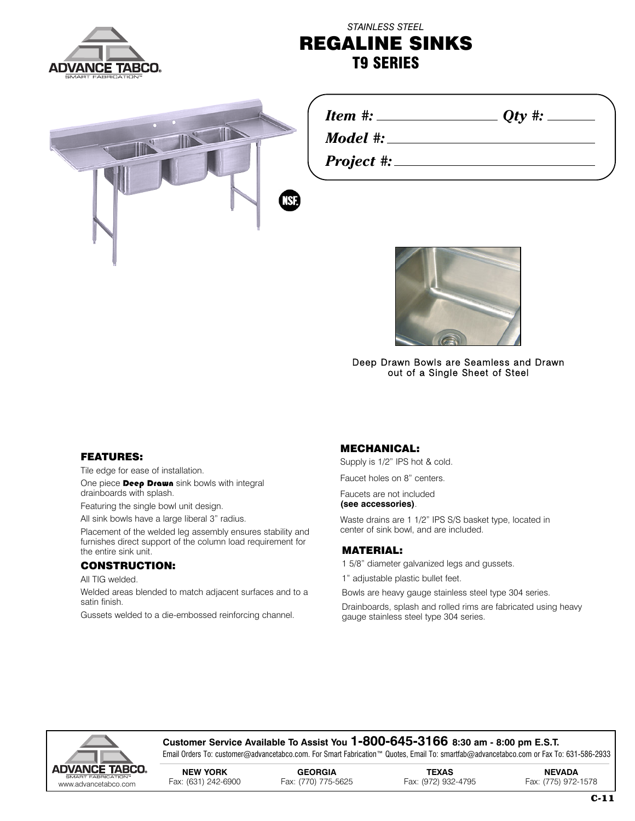

## *STAINLESS STEEL* **REGALINE SINKS T9 SERIES**



| Item<br>π. |
|------------|
|------------|

*Model #:*

*Project #:*



*<i>Oty* **#: \_\_\_\_** 

Deep Drawn Bowls are Seamless and Drawn out of a Single Sheet of Steel

#### **FEATURES:**

Tile edge for ease of installation.

One piece **Deep Drawn** sink bowls with integral drainboards with splash.

Featuring the single bowl unit design.

All sink bowls have a large liberal 3" radius.

Placement of the welded leg assembly ensures stability and furnishes direct support of the column load requirement for the entire sink unit.

#### **CONSTRUCTION:**

All TIG welded.

Welded areas blended to match adjacent surfaces and to a satin finish.

Gussets welded to a die-embossed reinforcing channel.

#### **MECHANICAL:**

Supply is 1/2" IPS hot & cold.

Faucet holes on 8" centers.

Faucets are not included **(see accessories)**.

Waste drains are 1 1/2" IPS S/S basket type, located in center of sink bowl, and are included.

### **MATERIAL:**

1 5/8" diameter galvanized legs and gussets.

1" adjustable plastic bullet feet.

Bowls are heavy gauge stainless steel type 304 series.

Drainboards, splash and rolled rims are fabricated using heavy gauge stainless steel type 304 series.



#### **Customer Service Available To Assist You 1-800-645-3166 8:30 am - 8:00 pm E.S.T.**

Email Orders To: customer@advancetabco.com. For Smart Fabrication™ Quotes, Email To: smartfab@advancetabco.com or Fax To: 631-586-2933

**NEW YORK GEORGIA TEXAS NEVADA** www Fax: (631) 242-6900 Fax: (770) 775-5625 Fax: (972) 932-4795 Fax: (775) 972-1578 .advancetabco.com